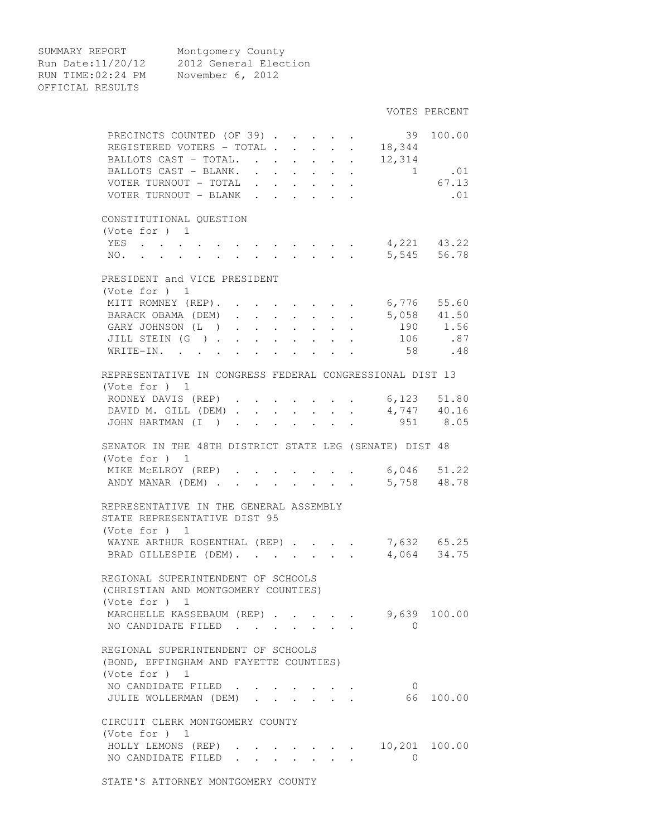SUMMARY REPORT Montgomery County Run Date:11/20/12 2012 General Election RUN TIME:02:24 PM November 6, 2012 OFFICIAL RESULTS

|                                                          |                                          |                                                                          |  |                                                   |                      |                                                             |                                                             |                                                                          |                                                                     |                                                         | VOTES PERCENT               |
|----------------------------------------------------------|------------------------------------------|--------------------------------------------------------------------------|--|---------------------------------------------------|----------------------|-------------------------------------------------------------|-------------------------------------------------------------|--------------------------------------------------------------------------|---------------------------------------------------------------------|---------------------------------------------------------|-----------------------------|
|                                                          | PRECINCTS COUNTED (OF 39).               |                                                                          |  |                                                   |                      |                                                             |                                                             |                                                                          |                                                                     | 39                                                      | 100.00                      |
|                                                          | REGISTERED VOTERS - TOTAL                |                                                                          |  |                                                   |                      |                                                             |                                                             |                                                                          |                                                                     | $\cdot$ $\cdot$ $18,344$                                |                             |
|                                                          | BALLOTS CAST - TOTAL.                    |                                                                          |  |                                                   |                      |                                                             | $\bullet$ .<br><br><br><br><br><br><br><br><br><br><br><br> | $\ddot{\phantom{0}}$                                                     |                                                                     | 12,314                                                  |                             |
|                                                          | BALLOTS CAST - BLANK.                    |                                                                          |  |                                                   |                      | $\mathbf{r}$ , $\mathbf{r}$ , $\mathbf{r}$ , $\mathbf{r}$   |                                                             |                                                                          | $\bullet$ .<br><br><br><br><br><br><br><br><br><br><br><br><br><br> |                                                         | 1 .01                       |
|                                                          | VOTER TURNOUT - TOTAL                    |                                                                          |  |                                                   |                      | $\mathbf{r}$ , $\mathbf{r}$ , $\mathbf{r}$ , $\mathbf{r}$   |                                                             |                                                                          |                                                                     |                                                         | 67.13                       |
|                                                          | VOTER TURNOUT - BLANK                    |                                                                          |  |                                                   | $\sim$               |                                                             |                                                             |                                                                          |                                                                     |                                                         | .01                         |
|                                                          |                                          |                                                                          |  |                                                   |                      |                                                             |                                                             |                                                                          |                                                                     |                                                         |                             |
|                                                          | CONSTITUTIONAL OUESTION                  |                                                                          |  |                                                   |                      |                                                             |                                                             |                                                                          |                                                                     |                                                         |                             |
|                                                          | (Vote for ) 1                            |                                                                          |  |                                                   |                      |                                                             |                                                             |                                                                          |                                                                     |                                                         |                             |
|                                                          | YES                                      |                                                                          |  |                                                   |                      |                                                             |                                                             |                                                                          |                                                                     |                                                         |                             |
|                                                          | NO.                                      |                                                                          |  |                                                   |                      |                                                             |                                                             |                                                                          |                                                                     |                                                         | 5,545 56.78                 |
|                                                          | PRESIDENT and VICE PRESIDENT             |                                                                          |  |                                                   |                      |                                                             |                                                             |                                                                          |                                                                     |                                                         |                             |
|                                                          | (Vote for ) 1                            |                                                                          |  |                                                   |                      |                                                             |                                                             |                                                                          |                                                                     |                                                         |                             |
|                                                          | MITT ROMNEY (REP).                       |                                                                          |  |                                                   |                      |                                                             |                                                             |                                                                          |                                                                     |                                                         | 6,776 55.60                 |
|                                                          | BARACK OBAMA (DEM)                       |                                                                          |  | $\ddot{\phantom{0}}$<br>$\mathbf{L}^{\text{max}}$ | $\ddot{\phantom{0}}$ | $\ddot{\phantom{a}}$                                        | $\ddot{\phantom{0}}$                                        |                                                                          | $\ddot{\phantom{0}}$                                                |                                                         | $5,058$ 41.50               |
|                                                          | GARY JOHNSON (L)                         |                                                                          |  | $\ddot{\phantom{0}}$<br>$\mathbf{L}$              | $\ddot{\phantom{0}}$ | $\ddot{\phantom{a}}$                                        | $\mathbf{L}$                                                |                                                                          |                                                                     |                                                         | $190$ $1.56$                |
|                                                          | JILL STEIN (G)                           |                                                                          |  |                                                   |                      | $\mathbf{L}$                                                | $\mathbf{L}$                                                | $\ddot{\phantom{0}}$                                                     |                                                                     |                                                         | 106 .87                     |
| WRITE-IN.                                                |                                          | $\mathbf{r}$ , $\mathbf{r}$ , $\mathbf{r}$ , $\mathbf{r}$ , $\mathbf{r}$ |  |                                                   |                      | $\cdot$ $\cdot$ $\cdot$                                     |                                                             |                                                                          |                                                                     | 58                                                      | .48                         |
|                                                          |                                          |                                                                          |  |                                                   |                      |                                                             |                                                             |                                                                          |                                                                     |                                                         |                             |
| REPRESENTATIVE IN CONGRESS FEDERAL CONGRESSIONAL DIST 13 |                                          |                                                                          |  |                                                   |                      |                                                             |                                                             |                                                                          |                                                                     |                                                         |                             |
|                                                          | (Vote for ) 1                            |                                                                          |  |                                                   |                      |                                                             |                                                             |                                                                          |                                                                     |                                                         |                             |
|                                                          | RODNEY DAVIS (REP)                       |                                                                          |  |                                                   |                      |                                                             |                                                             |                                                                          |                                                                     |                                                         | 6,123 51.80                 |
|                                                          | DAVID M. GILL (DEM)                      |                                                                          |  | $\ddot{\phantom{0}}$<br>$\sim$                    |                      |                                                             |                                                             |                                                                          | $\ddot{\phantom{a}}$                                                |                                                         | $4,747$ $40.16$<br>951 8.05 |
|                                                          | JOHN HARTMAN (I )                        |                                                                          |  | $\sim$                                            |                      |                                                             |                                                             |                                                                          |                                                                     |                                                         |                             |
|                                                          |                                          |                                                                          |  |                                                   |                      |                                                             |                                                             |                                                                          |                                                                     | SENATOR IN THE 48TH DISTRICT STATE LEG (SENATE) DIST 48 |                             |
|                                                          | (Vote for ) 1                            |                                                                          |  |                                                   |                      |                                                             |                                                             |                                                                          |                                                                     |                                                         |                             |
|                                                          | MIKE MCELROY (REP)                       |                                                                          |  |                                                   |                      |                                                             |                                                             |                                                                          |                                                                     |                                                         |                             |
|                                                          | ANDY MANAR (DEM)                         |                                                                          |  |                                                   |                      |                                                             |                                                             |                                                                          |                                                                     |                                                         | 5,758 48.78                 |
|                                                          |                                          |                                                                          |  |                                                   |                      |                                                             |                                                             |                                                                          |                                                                     |                                                         |                             |
|                                                          |                                          |                                                                          |  |                                                   |                      |                                                             |                                                             |                                                                          |                                                                     |                                                         |                             |
|                                                          | REPRESENTATIVE IN THE GENERAL ASSEMBLY   |                                                                          |  |                                                   |                      |                                                             |                                                             |                                                                          |                                                                     |                                                         |                             |
|                                                          | STATE REPRESENTATIVE DIST 95             |                                                                          |  |                                                   |                      |                                                             |                                                             |                                                                          |                                                                     |                                                         |                             |
|                                                          | (Note for ) 1                            |                                                                          |  |                                                   |                      |                                                             |                                                             |                                                                          |                                                                     |                                                         |                             |
|                                                          |                                          |                                                                          |  |                                                   |                      |                                                             |                                                             |                                                                          |                                                                     |                                                         |                             |
|                                                          | WAYNE ARTHUR ROSENTHAL (REP).            |                                                                          |  |                                                   |                      |                                                             |                                                             |                                                                          |                                                                     |                                                         | 7,632 65.25                 |
|                                                          | BRAD GILLESPIE (DEM).                    |                                                                          |  |                                                   |                      |                                                             |                                                             |                                                                          |                                                                     |                                                         | 4,064 34.75                 |
|                                                          | REGIONAL SUPERINTENDENT OF SCHOOLS       |                                                                          |  |                                                   |                      |                                                             |                                                             |                                                                          |                                                                     |                                                         |                             |
|                                                          | (CHRISTIAN AND MONTGOMERY COUNTIES)      |                                                                          |  |                                                   |                      |                                                             |                                                             |                                                                          |                                                                     |                                                         |                             |
|                                                          | (Vote for $)$ 1                          |                                                                          |  |                                                   |                      |                                                             |                                                             |                                                                          |                                                                     |                                                         |                             |
|                                                          | MARCHELLE KASSEBAUM (REP).               |                                                                          |  |                                                   |                      |                                                             |                                                             |                                                                          |                                                                     |                                                         | 9,639 100.00                |
|                                                          | NO CANDIDATE FILED                       |                                                                          |  |                                                   |                      |                                                             |                                                             |                                                                          |                                                                     | $\bigcirc$                                              |                             |
|                                                          |                                          |                                                                          |  |                                                   |                      |                                                             |                                                             |                                                                          |                                                                     |                                                         |                             |
|                                                          | REGIONAL SUPERINTENDENT OF SCHOOLS       |                                                                          |  |                                                   |                      |                                                             |                                                             |                                                                          |                                                                     |                                                         |                             |
|                                                          | (BOND, EFFINGHAM AND FAYETTE COUNTIES)   |                                                                          |  |                                                   |                      |                                                             |                                                             |                                                                          |                                                                     |                                                         |                             |
|                                                          | (Vote for $)$ 1                          |                                                                          |  |                                                   |                      |                                                             |                                                             |                                                                          |                                                                     |                                                         |                             |
|                                                          | NO CANDIDATE FILED                       |                                                                          |  |                                                   |                      |                                                             |                                                             |                                                                          |                                                                     | $\overline{0}$                                          |                             |
|                                                          | JULIE WOLLERMAN (DEM)                    |                                                                          |  |                                                   |                      | $\bullet$ .<br><br><br><br><br><br><br><br><br><br><br><br> |                                                             | $\mathbf{z} = \mathbf{z} + \mathbf{z}$ , where $\mathbf{z} = \mathbf{z}$ |                                                                     | 66                                                      | 100.00                      |
|                                                          |                                          |                                                                          |  |                                                   |                      |                                                             |                                                             |                                                                          |                                                                     |                                                         |                             |
|                                                          | CIRCUIT CLERK MONTGOMERY COUNTY          |                                                                          |  |                                                   |                      |                                                             |                                                             |                                                                          |                                                                     |                                                         |                             |
|                                                          | (Vote for $)$ 1                          |                                                                          |  |                                                   |                      |                                                             |                                                             |                                                                          |                                                                     |                                                         |                             |
|                                                          | HOLLY LEMONS (REP)<br>NO CANDIDATE FILED |                                                                          |  |                                                   |                      |                                                             |                                                             |                                                                          |                                                                     | 0                                                       | 10,201 100.00               |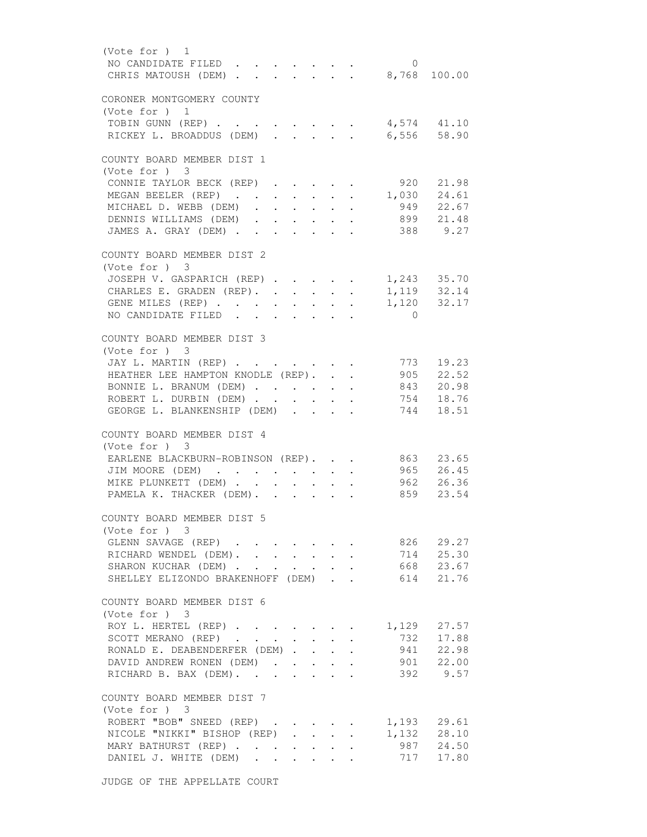| (Vote for ) 1                                                                                  |                                      |                                           |                 |
|------------------------------------------------------------------------------------------------|--------------------------------------|-------------------------------------------|-----------------|
| NO CANDIDATE FILED                                                                             |                                      | $\mathbf{0}$                              |                 |
| CHRIS MATOUSH (DEM) 8,768 100.00                                                               |                                      |                                           |                 |
|                                                                                                |                                      |                                           |                 |
| CORONER MONTGOMERY COUNTY                                                                      |                                      |                                           |                 |
| (Vote for $)$ 1                                                                                |                                      |                                           |                 |
| TOBIN GUNN (REP)                                                                               |                                      |                                           | $4,574$ $41.10$ |
| RICKEY L. BROADDUS (DEM)<br><b>Contract</b><br>$\mathbf{L}$<br>$\mathbf{L}$                    | $\mathbf{L}$                         | $\sim$                                    | 6,556 58.90     |
|                                                                                                |                                      |                                           |                 |
| COUNTY BOARD MEMBER DIST 1                                                                     |                                      |                                           |                 |
|                                                                                                |                                      |                                           |                 |
| (Vote for ) 3                                                                                  |                                      |                                           |                 |
| CONNIE TAYLOR BECK (REP)                                                                       |                                      | . 920 21.98                               |                 |
| MEGAN BEELER (REP)                                                                             |                                      | $\mathbf{r}$ , and the state $\mathbf{r}$ | 1,030 24.61     |
| MICHAEL D. WEBB (DEM)                                                                          | $\mathbf{L} = \mathbf{L} \mathbf{L}$ |                                           | 949 22.67       |
| DENNIS WILLIAMS (DEM)                                                                          |                                      |                                           | 899 21.48       |
| JAMES A. GRAY (DEM)                                                                            |                                      |                                           | 388 9.27        |
|                                                                                                |                                      |                                           |                 |
| COUNTY BOARD MEMBER DIST 2                                                                     |                                      |                                           |                 |
| (Vote for ) 3                                                                                  |                                      |                                           |                 |
| JOSEPH V. GASPARICH (REP)                                                                      |                                      | 1,243 35.70                               |                 |
| CHARLES E. GRADEN (REP).                                                                       |                                      |                                           | 1,119 32.14     |
| GENE MILES (REP)                                                                               |                                      |                                           | 1,120 32.17     |
| NO CANDIDATE FILED                                                                             |                                      | $\overline{0}$                            |                 |
|                                                                                                |                                      |                                           |                 |
| COUNTY BOARD MEMBER DIST 3                                                                     |                                      |                                           |                 |
|                                                                                                |                                      |                                           |                 |
| (Vote for ) 3                                                                                  |                                      |                                           |                 |
| JAY L. MARTIN (REP)                                                                            | $\cdot$ $\cdot$                      |                                           | 773 19.23       |
| HEATHER LEE HAMPTON KNODLE (REP).                                                              | $\ddot{\phantom{0}}$                 | $\sim$                                    | 905 22.52       |
| BONNIE L. BRANUM (DEM)                                                                         |                                      | $\ddot{\phantom{0}}$                      | 843 20.98       |
| ROBERT L. DURBIN (DEM)                                                                         |                                      |                                           | 754 18.76       |
| GEORGE L. BLANKENSHIP (DEM)                                                                    |                                      |                                           | 744 18.51       |
|                                                                                                |                                      |                                           |                 |
| COUNTY BOARD MEMBER DIST 4                                                                     |                                      |                                           |                 |
| (Vote for ) 3                                                                                  |                                      |                                           |                 |
| EARLENE BLACKBURN-ROBINSON (REP).                                                              |                                      |                                           | 863 23.65       |
| JIM MOORE (DEM)                                                                                |                                      |                                           | 965 26.45       |
| MIKE PLUNKETT (DEM)<br>$\cdot$ $\cdot$                                                         | $\mathbf{L} = \mathbf{L}$            |                                           | 962 26.36       |
| PAMELA K. THACKER (DEM).                                                                       |                                      |                                           | 859 23.54       |
|                                                                                                |                                      |                                           |                 |
| COUNTY BOARD MEMBER DIST 5                                                                     |                                      |                                           |                 |
| (Vote for ) 3                                                                                  |                                      |                                           |                 |
| GLENN SAVAGE (REP)                                                                             |                                      | 826                                       | 29.27           |
|                                                                                                |                                      |                                           |                 |
| RICHARD WENDEL (DEM).                                                                          |                                      | 714                                       | 25.30           |
| SHARON KUCHAR (DEM).                                                                           |                                      | 668                                       | 23.67           |
| SHELLEY ELIZONDO BRAKENHOFF (DEM)                                                              | $\mathbf{L}^{\text{max}}$            |                                           | 614 21.76       |
|                                                                                                |                                      |                                           |                 |
| COUNTY BOARD MEMBER DIST 6                                                                     |                                      |                                           |                 |
| (Vote for ) 3                                                                                  |                                      |                                           |                 |
| ROY L. HERTEL (REP)                                                                            |                                      | 1,129                                     | 27.57           |
| SCOTT MERANO (REP)                                                                             |                                      | 732                                       | 17.88           |
| RONALD E. DEABENDERFER (DEM).                                                                  | $\cdot$ $\cdot$ $\cdot$              | 941                                       | 22.98           |
| DAVID ANDREW RONEN (DEM)                                                                       |                                      | 901                                       | 22.00           |
| RICHARD B. BAX (DEM).<br>$\mathbf{r}$                                                          |                                      | 392                                       | 9.57            |
|                                                                                                |                                      |                                           |                 |
| COUNTY BOARD MEMBER DIST 7                                                                     |                                      |                                           |                 |
| (Vote for ) 3                                                                                  |                                      |                                           |                 |
| ROBERT "BOB" SNEED (REP)                                                                       |                                      |                                           | 1,193 29.61     |
| NICOLE "NIKKI" BISHOP (REP)                                                                    |                                      |                                           | 1,132 28.10     |
|                                                                                                |                                      | 987                                       | 24.50           |
| MARY BATHURST (REP)                                                                            | $\bullet$ . In the set of $\bullet$  |                                           |                 |
| DANIEL J. WHITE (DEM)<br>$\mathbf{r}$ , $\mathbf{r}$ , $\mathbf{r}$<br>$\cdot$ $\cdot$ $\cdot$ |                                      | 717                                       | 17.80           |